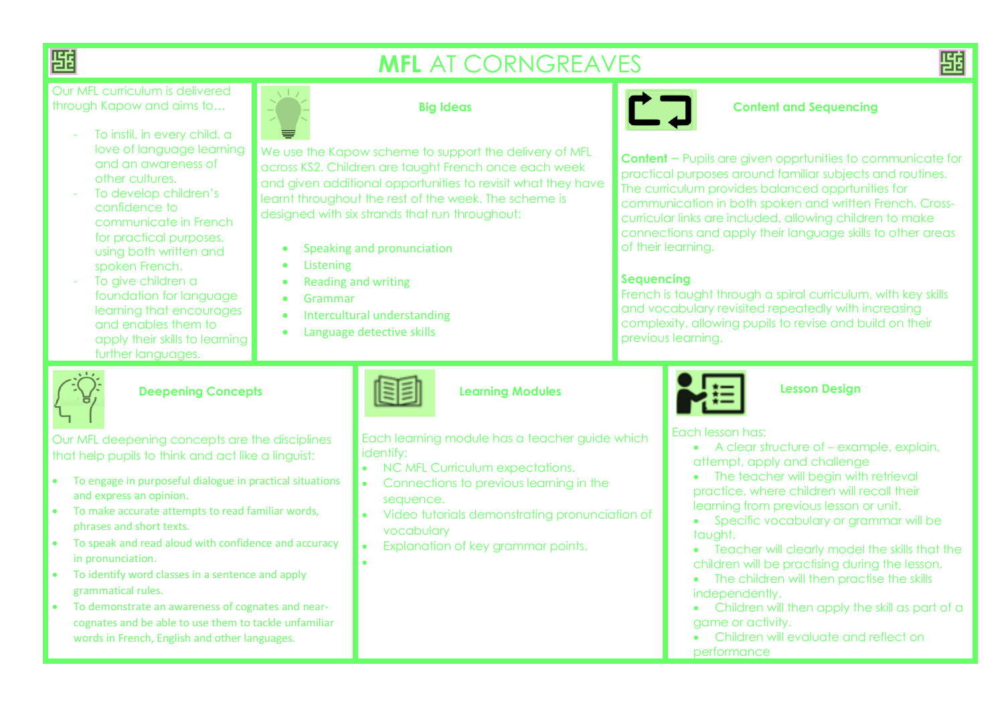

# **MFL** AT CORNGREAVES

祀

Our MFL curriculum is delivered through Kapow and aims to…

- To instil, in every child, a love of language learning and an awareness of other cultures.
- To develop children's confidence to communicate in French for practical purposes, using both written and spoken French.
- To give children a foundation for language learning that encourages and enables them to apply their skills to learning further languages.



### **Big Ideas**

We use the Kapow scheme to support the delivery of MFL across KS2. Children are taught French once each week and given additional opportunities to revisit what they have learnt throughout the rest of the week. The scheme is designed with six strands that run throughout:

- Speaking and pronunciation
- **•** Listening
- Reading and writing
- Grammar
- Intercultural understanding
- Language detective skills

 $\bullet$ 



#### **Content and Sequencing**

**Content** – Pupils are given opprtunities to communicate for practical purposes around familiar subjects and routines. The curriculum provides balanced opprtunities for communication in both spoken and written French. Crosscurricular links are included, allowing children to make connections and apply their language skills to other areas of their learning.

## **Sequencing**

French is taught through a spiral curriculum, with key skills and vocabulary revisited repeatedly with increasing complexity, allowing pupils to revise and build on their previous learning.

### **Deepening Concepts**

Our MFL deepening concepts are the disciplines that help pupils to think and act like a linguist:

- To engage in purposeful dialogue in practical situations and express an opinion.
- To make accurate attempts to read familiar words, phrases and short texts.
- To speak and read aloud with confidence and accuracy in pronunciation.
- To identify word classes in a sentence and apply grammatical rules.
- To demonstrate an awareness of cognates and nearcognates and be able to use them to tackle unfamiliar words in French, English and other languages.

## **Learning Modules**

Each learning module has a teacher guide which identify:

- NC MFL Curriculum expectations.
- Connections to previous learning in the sequence.
- Video tutorials demonstrating pronunciation of vocabulary
- Explanation of key grammar points.



#### **Lesson Design**

Each lesson has:

- A clear structure of example, explain, attempt, apply and challenge
- The teacher will begin with retrieval practice, where children will recall their learning from previous lesson or unit.
- Specific vocabulary or grammar will be taught.
- Teacher will clearly model the skills that the children will be practising during the lesson.
- The children will then practise the skills independently.
- Children will then apply the skill as part of a game or activity.
- Children will evaluate and reflect on performance